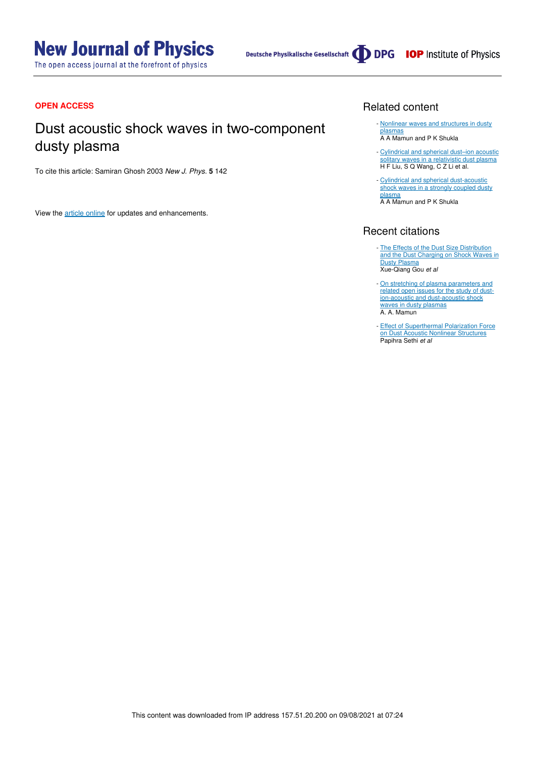# **New Journal of Physics**

The open access journal at the forefront of physics

#### **OPEN ACCESS**

# Dust acoustic shock waves in two-component dusty plasma

To cite this article: Samiran Ghosh 2003 New J. Phys. **5** 142

View the article online for updates and enhancements.

#### Related content

- Nonlinear waves and structures in dusty plasmas A A Mamun and P K Shukla
- Cylindrical and spherical dust–ion acoustic solitary waves in a relativistic dust plasma H F Liu, S Q Wang, C Z Li et al. -
- Cylindrical and spherical dust-acoustic shock waves in a strongly coupled dusty plasma A A Mamun and P K Shukla

### Recent citations

- The Effects of the Dust Size Distribution and the Dust Charging on Shock Waves in Dusty Plasma Xue-Qiang Gou et al
- On stretching of plasma parameters and related open issues for the study of dustion-acoustic and dust-acoustic shock waves in dusty plasmas A. A. Mamun -
- Effect of Superthermal Polarization Force on Dust Acoustic Nonlinear Structures Papihra Sethi *et al* -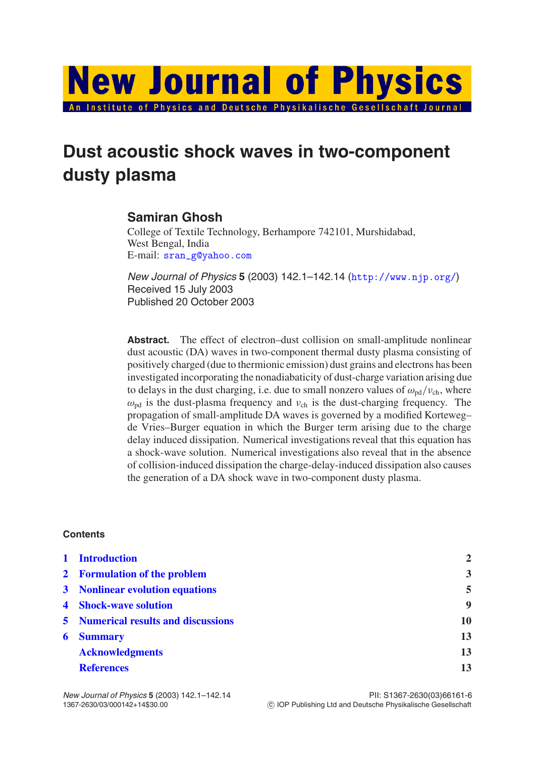

# **Dust acoustic shock waves in two-component dusty plasma**

## **Samiran Ghosh**

College of Textile Technology, Berhampore 742101, Murshidabad, West Bengal, India E-mail: sran\_g@yahoo.com

New Journal of Physics **5** (2003) 142.1–142.14 (http://www.njp.org/) Received 15 July 2003 Published 20 October 2003

**Abstract.** The effect of electron–dust collision on small-amplitude nonlinear dust acoustic (DA) waves in two-component thermal dusty plasma consisting of positively charged (due to thermionic emission) dust grains and electrons has been investigated incorporating the nonadiabaticity of dust-charge variation arising due to delays in the dust charging, i.e. due to small nonzero values of  $\omega_{\text{nd}}/v_{\text{ch}}$ , where  $\omega_{pd}$  is the dust-plasma frequency and  $v_{ch}$  is the dust-charging frequency. The propagation of small-amplitude DA waves is governed by a modified Korteweg– de Vries–Burger equation in which the Burger term arising due to the charge delay induced dissipation. Numerical investigations reveal that this equation has a shock-wave solution. Numerical investigations also reveal that in the absence of collision-induced dissipation the charge-delay-induced dissipation also causes the generation of a DA shock wave in two-component dusty plasma.

### **Contents**

|   | 1 Introduction                             | $\overline{2}$          |
|---|--------------------------------------------|-------------------------|
|   | 2 Formulation of the problem               | $\overline{\mathbf{3}}$ |
|   | 3 Nonlinear evolution equations            | 5                       |
|   | <b>4</b> Shock-wave solution               | 9                       |
|   | <b>5</b> Numerical results and discussions | 10                      |
| 6 | <b>Summary</b>                             | 13                      |
|   | <b>Acknowledgments</b>                     | 13                      |
|   | <b>References</b>                          | 13                      |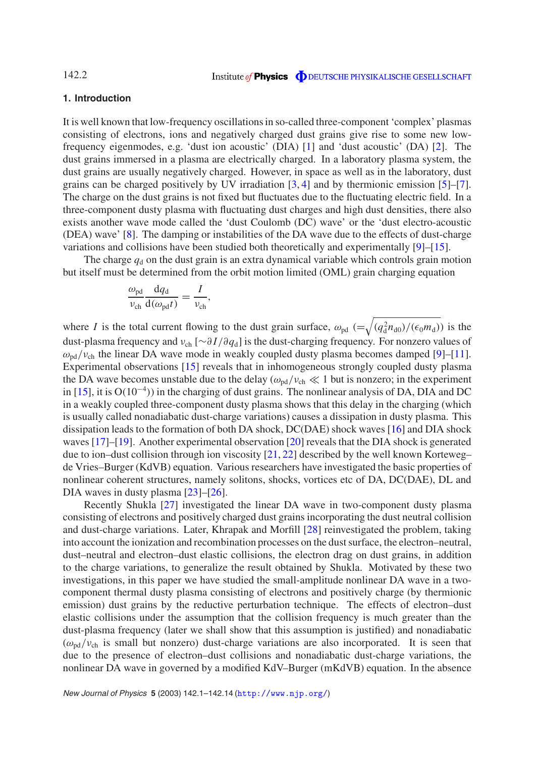#### **1. Introduction**

It is well known that low-frequency oscillations in so-called three-component 'complex' plasmas consisting of electrons, ions and negatively charged dust grains give rise to some new lowfrequency eigenmodes, e.g. 'dust ion acoustic' (DIA) [1] and 'dust acoustic' (DA) [2]. The dust grains immersed in a plasma are electrically charged. In a laboratory plasma system, the dust grains are usually negatively charged. However, in space as well as in the laboratory, dust grains can be charged positively by UV irradiation [3, 4] and by thermionic emission [5]–[7]. The charge on the dust grains is not fixed but fluctuates due to the fluctuating electric field. In a three-component dusty plasma with fluctuating dust charges and high dust densities, there also exists another wave mode called the 'dust Coulomb (DC) wave' or the 'dust electro-acoustic (DEA) wave' [8]. The damping or instabilities of the DA wave due to the effects of dust-charge variations and collisions have been studied both theoretically and experimentally [9]–[15].

The charge  $q_d$  on the dust grain is an extra dynamical variable which controls grain motion but itself must be determined from the orbit motion limited (OML) grain charging equation

$$
\frac{\omega_{\rm pd}}{\nu_{\rm ch}}\frac{\mathrm{d}q_{\rm d}}{\mathrm{d}(\omega_{\rm pd}t)}=\frac{I}{\nu_{\rm ch}},
$$

where *I* is the total current flowing to the dust grain surface,  $\omega_{pd}$  ( $=\sqrt{(q_d^2 n_{d0})/(\epsilon_0 m_d)}$ ) is the dust-plasma frequency and νch [∼∂ *I*/∂*q*d] is the dust-charging frequency. For nonzero values of  $\omega_{\rm{nd}}/\nu_{\rm{ch}}$  the linear DA wave mode in weakly coupled dusty plasma becomes damped [9]–[11]. Experimental observations [15] reveals that in inhomogeneous strongly coupled dusty plasma the DA wave becomes unstable due to the delay  $(\omega_{\text{pd}}/v_{\text{ch}} \ll 1$  but is nonzero; in the experiment in [15], it is O(10−<sup>4</sup> )) in the charging of dust grains. The nonlinear analysis of DA, DIA and DC in a weakly coupled three-component dusty plasma shows that this delay in the charging (which is usually called nonadiabatic dust-charge variations) causes a dissipation in dusty plasma. This dissipation leads to the formation of both DA shock, DC(DAE) shock waves [16] and DIA shock waves [17]–[19]. Another experimental observation [20] reveals that the DIA shock is generated due to ion–dust collision through ion viscosity [21, 22] described by the well known Korteweg– de Vries–Burger (KdVB) equation. Various researchers have investigated the basic properties of nonlinear coherent structures, namely solitons, shocks, vortices etc of DA, DC(DAE), DL and DIA waves in dusty plasma [23]–[26].

Recently Shukla [27] investigated the linear DA wave in two-component dusty plasma consisting of electrons and positively charged dust grains incorporating the dust neutral collision and dust-charge variations. Later, Khrapak and Morfill [28] reinvestigated the problem, taking into account the ionization and recombination processes on the dust surface, the electron–neutral, dust–neutral and electron–dust elastic collisions, the electron drag on dust grains, in addition to the charge variations, to generalize the result obtained by Shukla. Motivated by these two investigations, in this paper we have studied the small-amplitude nonlinear DA wave in a twocomponent thermal dusty plasma consisting of electrons and positively charge (by thermionic emission) dust grains by the reductive perturbation technique. The effects of electron–dust elastic collisions under the assumption that the collision frequency is much greater than the dust-plasma frequency (later we shall show that this assumption is justified) and nonadiabatic  $(\omega_{\text{pd}}/v_{\text{ch}})$  is small but nonzero) dust-charge variations are also incorporated. It is seen that due to the presence of electron–dust collisions and nonadiabatic dust-charge variations, the nonlinear DA wave in governed by a modified KdV–Burger (mKdVB) equation. In the absence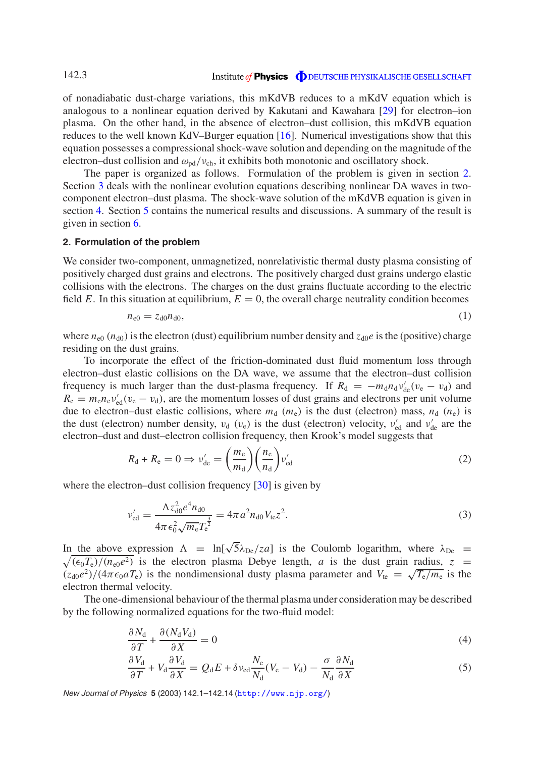of nonadiabatic dust-charge variations, this mKdVB reduces to a mKdV equation which is analogous to a nonlinear equation derived by Kakutani and Kawahara [29] for electron–ion plasma. On the other hand, in the absence of electron–dust collision, this mKdVB equation reduces to the well known KdV–Burger equation [16]. Numerical investigations show that this equation possesses a compressional shock-wave solution and depending on the magnitude of the electron–dust collision and  $\omega_{pd}/v_{ch}$ , it exhibits both monotonic and oscillatory shock.

The paper is organized as follows. Formulation of the problem is given in section 2. Section 3 deals with the nonlinear evolution equations describing nonlinear DA waves in twocomponent electron–dust plasma. The shock-wave solution of the mKdVB equation is given in section 4. Section 5 contains the numerical results and discussions. A summary of the result is given in section 6.

#### **2. Formulation of the problem**

We consider two-component, unmagnetized, nonrelativistic thermal dusty plasma consisting of positively charged dust grains and electrons. The positively charged dust grains undergo elastic collisions with the electrons. The charges on the dust grains fluctuate according to the electric field *E*. In this situation at equilibrium,  $E = 0$ , the overall charge neutrality condition becomes

$$
n_{e0} = z_{d0} n_{d0},\tag{1}
$$

where  $n_{e0}$  ( $n_{d0}$ ) is the electron (dust) equilibrium number density and  $z_{d0}e$  is the (positive) charge residing on the dust grains.

To incorporate the effect of the friction-dominated dust fluid momentum loss through electron–dust elastic collisions on the DA wave, we assume that the electron–dust collision frequency is much larger than the dust-plasma frequency. If  $R_d = -m_d n_d v'_{de}(v_e - v_d)$  and  $R_e = m_e n_e v_{\text{ed}}' (v_e - v_d)$ , are the momentum losses of dust grains and electrons per unit volume due to electron–dust elastic collisions, where  $m_d$  ( $m_e$ ) is the dust (electron) mass,  $n_d$  ( $n_e$ ) is the dust (electron) number density,  $v_d$  ( $v_e$ ) is the dust (electron) velocity,  $v'_{ed}$  and  $v'_{de}$  are the electron–dust and dust–electron collision frequency, then Krook's model suggests that

$$
R_{\rm d} + R_{\rm e} = 0 \Rightarrow \nu_{\rm de}' = \left(\frac{m_{\rm e}}{m_{\rm d}}\right) \left(\frac{n_{\rm e}}{n_{\rm d}}\right) \nu_{\rm ed}' \tag{2}
$$

where the electron–dust collision frequency [30] is given by

$$
\nu'_{\rm ed} = \frac{\Lambda z_{\rm d0}^2 e^4 n_{\rm d0}}{4\pi \epsilon_0^2 \sqrt{m_{\rm e}} T_{\rm e}^{\frac{3}{2}}} = 4\pi a^2 n_{\rm d0} V_{\rm te} z^2.
$$
\n(3)

In the above expression  $\Lambda = \ln[\sqrt{5}\lambda_{De}/z_a]$  is the Coulomb logarithm, where  $\lambda_{De}$  $\sqrt{(\epsilon_0 T_e)/(n_{e0}e^2)}$  is the electron plasma Debye length, *a* is the dust grain radius, *z* =  $(z_{d0}e^{2})/(4\pi\epsilon_{0}aT_{e})$  is the nondimensional dusty plasma parameter and  $V_{te} = \sqrt{T_{e}/m_{e}}$  is the electron thermal velocity.

The one-dimensional behaviour of the thermal plasma under consideration may be described by the following normalized equations for the two-fluid model:

$$
\frac{\partial N_{\rm d}}{\partial T} + \frac{\partial (N_{\rm d} V_{\rm d})}{\partial X} = 0 \tag{4}
$$

$$
\frac{\partial V_{\rm d}}{\partial T} + V_{\rm d} \frac{\partial V_{\rm d}}{\partial X} = Q_{\rm d} E + \delta v_{\rm ed} \frac{N_{\rm e}}{N_{\rm d}} (V_{\rm e} - V_{\rm d}) - \frac{\sigma}{N_{\rm d}} \frac{\partial N_{\rm d}}{\partial X} \tag{5}
$$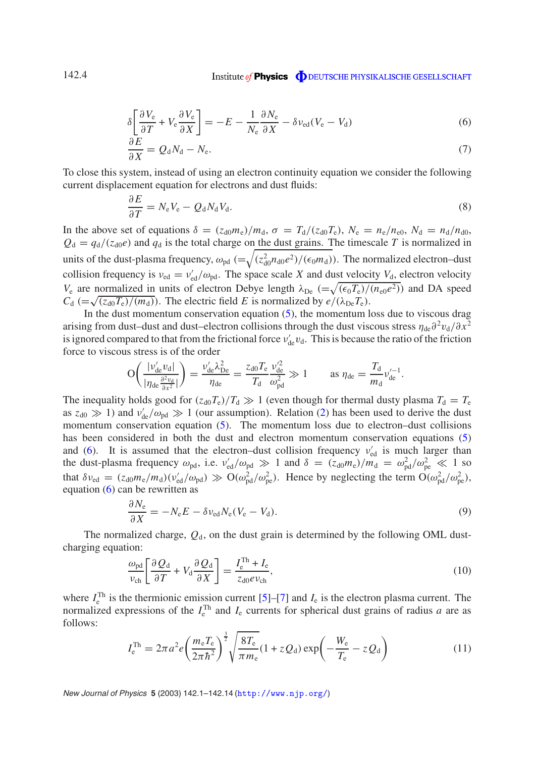$$
\delta \left[ \frac{\partial V_e}{\partial T} + V_e \frac{\partial V_e}{\partial X} \right] = -E - \frac{1}{N_e} \frac{\partial N_e}{\partial X} - \delta v_{\text{ed}} (V_e - V_d) \tag{6}
$$

$$
\frac{\partial E}{\partial X} = Q_d N_d - N_e. \tag{7}
$$

To close this system, instead of using an electron continuity equation we consider the following current displacement equation for electrons and dust fluids:

$$
\frac{\partial E}{\partial T} = N_{\rm e} V_{\rm e} - Q_{\rm d} N_{\rm d} V_{\rm d}.
$$
\n(8)

In the above set of equations  $\delta = (z_{d0}m_e)/m_d$ ,  $\sigma = T_d/(z_{d0}T_e)$ ,  $N_e = n_e/n_{e0}$ ,  $N_d = n_d/n_{d0}$ ,  $Q_d = q_d/(z_{d0}e)$  and  $q_d$  is the total charge on the dust grains. The timescale *T* is normalized in units of the dust-plasma frequency,  $\omega_{pd}$  ( $=\sqrt{(z_{d0}^2 n_{d0}e^2)/(\epsilon_0 m_d)}$ ). The normalized electron–dust collision frequency is  $v_{\text{ed}} = v'_{\text{ed}}/\omega_{\text{pd}}$ . The space scale *X* and dust velocity  $V_{d}$ , electron velocity  $V_e$  are normalized in units of electron Debye length  $\lambda_{De}$  ( $=\sqrt{(\epsilon_0 T_e)/(n_{e0}e^2)}$ ) and DA speed  $C_d$  (= $\sqrt{(z_{d0}T_e)/(m_d)}$ ). The electric field *E* is normalized by  $e/(\lambda_{De}T_e)$ .

In the dust momentum conservation equation  $(5)$ , the momentum loss due to viscous drag arising from dust–dust and dust–electron collisions through the dust viscous stress  $\eta_{de}\partial^2 v_d/\partial x^2$ is ignored compared to that from the frictional force  $v'_{de}v_d$ . This is because the ratio of the friction force to viscous stress is of the order

$$
\mathcal{O}\bigg(\frac{|\nu_{\text{de}}'v_{\text{d}}|}{|\eta_{\text{de}}\frac{\partial^2 v_{\text{d}}}{\partial x^2}|}\bigg) = \frac{\nu_{\text{de}}' \lambda_{\text{De}}^2}{\eta_{\text{de}}} = \frac{z_{\text{d}0}T_{\text{e}}}{T_{\text{d}}}\frac{\nu_{\text{de}}'^2}{\omega_{\text{pd}}^2} \gg 1 \qquad \text{as } \eta_{\text{de}} = \frac{T_{\text{d}}}{m_{\text{d}}} \nu_{\text{de}}'^{-1}.
$$

The inequality holds good for  $(z_{d0}T_e)/T_d \gg 1$  (even though for thermal dusty plasma  $T_d = T_e$ as  $z_{d0} \gg 1$ ) and  $v'_{de}/\omega_{pd} \gg 1$  (our assumption). Relation (2) has been used to derive the dust momentum conservation equation (5). The momentum loss due to electron–dust collisions has been considered in both the dust and electron momentum conservation equations (5) and (6). It is assumed that the electron-dust collision frequency  $v_{\text{ed}}'$  is much larger than the dust-plasma frequency  $\omega_{\text{pd}}$ , i.e.  $v_{\text{ed}}' / \omega_{\text{pd}} \gg 1$  and  $\delta = (z_{\text{d}0} m_{\text{e}}) / m_{\text{d}} = \omega_{\text{pd}}^2 / \omega_{\text{pe}}^2 \ll 1$  so that  $\delta v_{\rm ed} = (z_{\rm d0} m_{\rm e}/m_{\rm d}) (v_{\rm ed}'/\omega_{\rm pd}) \gg O(\omega_{\rm pd}^2/\omega_{\rm pe}^2)$ . Hence by neglecting the term  $O(\omega_{\rm pd}^2/\omega_{\rm pe}^2)$ , equation (6) can be rewritten as

$$
\frac{\partial N_{\rm e}}{\partial X} = -N_{\rm e}E - \delta v_{\rm ed}N_{\rm e}(V_{\rm e} - V_{\rm d}).\tag{9}
$$

The normalized charge,  $Q_d$ , on the dust grain is determined by the following OML dustcharging equation:

$$
\frac{\omega_{\rm pd}}{\nu_{\rm ch}} \left[ \frac{\partial Q_{\rm d}}{\partial T} + V_{\rm d} \frac{\partial Q_{\rm d}}{\partial X} \right] = \frac{I_{\rm e}^{\rm Th} + I_{\rm e}}{z_{\rm d0} e \nu_{\rm ch}},\tag{10}
$$

where  $I_{\rm e}^{\rm Th}$  is the thermionic emission current [5]–[7] and  $I_{\rm e}$  is the electron plasma current. The normalized expressions of the  $I_e^{\text{Th}}$  and  $I_e$  currents for spherical dust grains of radius *a* are as follows:

$$
I_{\rm e}^{\rm Th} = 2\pi a^2 e \left(\frac{m_{\rm e} T_{\rm e}}{2\pi \hbar^2}\right)^{\frac{3}{2}} \sqrt{\frac{8T_{\rm e}}{\pi m_{\rm e}}} (1 + z Q_{\rm d}) \exp\left(-\frac{W_{\rm e}}{T_{\rm e}} - z Q_{\rm d}\right) \tag{11}
$$

New Journal of Physics **5** (2003) 142.1–142.14 (http://www.njp.org/)

142.4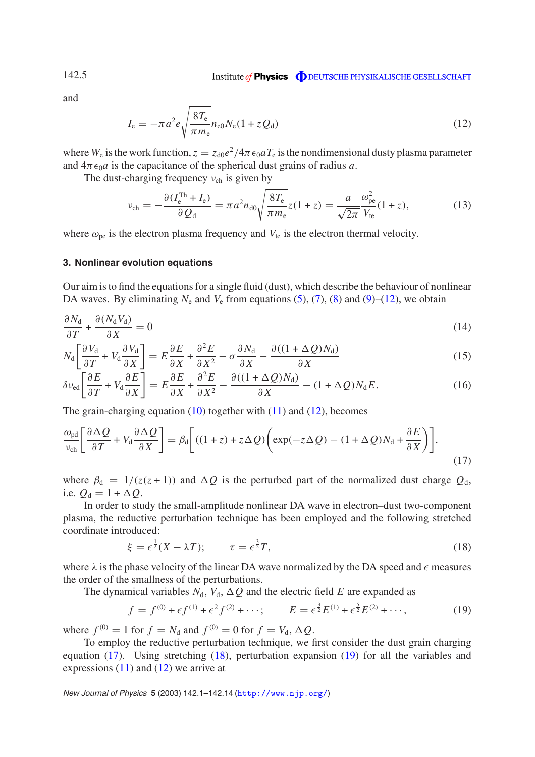and

$$
I_{\rm e} = -\pi a^2 e \sqrt{\frac{8T_{\rm e}}{\pi m_{\rm e}} n_{\rm e0} N_{\rm e} (1 + z Q_{\rm d})}
$$
(12)

where  $W_e$  is the work function,  $z = z_{d0}e^2/4\pi\epsilon_0 a T_e$  is the nondimensional dusty plasma parameter and  $4\pi\epsilon_0 a$  is the capacitance of the spherical dust grains of radius *a*.

The dust-charging frequency  $v_{ch}$  is given by

$$
\nu_{\rm ch} = -\frac{\partial (I_{\rm e}^{\rm Th} + I_{\rm e})}{\partial Q_{\rm d}} = \pi a^2 n_{\rm d0} \sqrt{\frac{8T_{\rm e}}{\pi m_{\rm e}}} z (1 + z) = \frac{a}{\sqrt{2\pi}} \frac{\omega_{\rm pe}^2}{V_{\rm te}} (1 + z),\tag{13}
$$

where  $\omega_{\text{ne}}$  is the electron plasma frequency and  $V_{\text{te}}$  is the electron thermal velocity.

#### **3. Nonlinear evolution equations**

Our aim is to find the equations for a single fluid (dust), which describe the behaviour of nonlinear DA waves. By eliminating  $N_e$  and  $V_e$  from equations (5), (7), (8) and (9)–(12), we obtain

$$
\frac{\partial N_{\rm d}}{\partial T} + \frac{\partial (N_{\rm d} V_{\rm d})}{\partial X} = 0 \tag{14}
$$

$$
N_{\rm d} \left[ \frac{\partial V_{\rm d}}{\partial T} + V_{\rm d} \frac{\partial V_{\rm d}}{\partial X} \right] = E \frac{\partial E}{\partial X} + \frac{\partial^2 E}{\partial X^2} - \sigma \frac{\partial N_{\rm d}}{\partial X} - \frac{\partial ((1 + \Delta Q)N_{\rm d})}{\partial X} \tag{15}
$$

$$
\delta\nu_{\rm ed} \left[ \frac{\partial E}{\partial T} + V_{\rm d} \frac{\partial E}{\partial X} \right] = E \frac{\partial E}{\partial X} + \frac{\partial^2 E}{\partial X^2} - \frac{\partial ((1 + \Delta Q)N_{\rm d})}{\partial X} - (1 + \Delta Q)N_{\rm d}E. \tag{16}
$$

The grain-charging equation  $(10)$  together with  $(11)$  and  $(12)$ , becomes

$$
\frac{\omega_{\rm pd}}{\nu_{\rm ch}} \left[ \frac{\partial \Delta Q}{\partial T} + V_{\rm d} \frac{\partial \Delta Q}{\partial X} \right] = \beta_{\rm d} \left[ ((1+z) + z \Delta Q) \left( \exp(-z \Delta Q) - (1+\Delta Q) N_{\rm d} + \frac{\partial E}{\partial X} \right) \right],\tag{17}
$$

where  $\beta_d = 1/(z(z+1))$  and  $\Delta Q$  is the perturbed part of the normalized dust charge  $Q_d$ , i.e.  $Q_d = 1 + \Delta Q$ .

In order to study the small-amplitude nonlinear DA wave in electron–dust two-component plasma, the reductive perturbation technique has been employed and the following stretched coordinate introduced:

$$
\xi = \epsilon^{\frac{1}{2}} (X - \lambda T); \qquad \tau = \epsilon^{\frac{3}{2}} T, \tag{18}
$$

where  $\lambda$  is the phase velocity of the linear DA wave normalized by the DA speed and  $\epsilon$  measures the order of the smallness of the perturbations.

The dynamical variables  $N_d$ ,  $V_d$ ,  $\Delta Q$  and the electric field *E* are expanded as

$$
f = f^{(0)} + \epsilon f^{(1)} + \epsilon^2 f^{(2)} + \cdots; \qquad E = \epsilon^{\frac{3}{2}} E^{(1)} + \epsilon^{\frac{5}{2}} E^{(2)} + \cdots,
$$
 (19)

where  $f^{(0)} = 1$  for  $f = N_d$  and  $f^{(0)} = 0$  for  $f = V_d$ ,  $\Delta Q$ .

To employ the reductive perturbation technique, we first consider the dust grain charging equation (17). Using stretching (18), perturbation expansion (19) for all the variables and expressions  $(11)$  and  $(12)$  we arrive at

New Journal of Physics **5** (2003) 142.1–142.14 (http://www.njp.org/)

142.5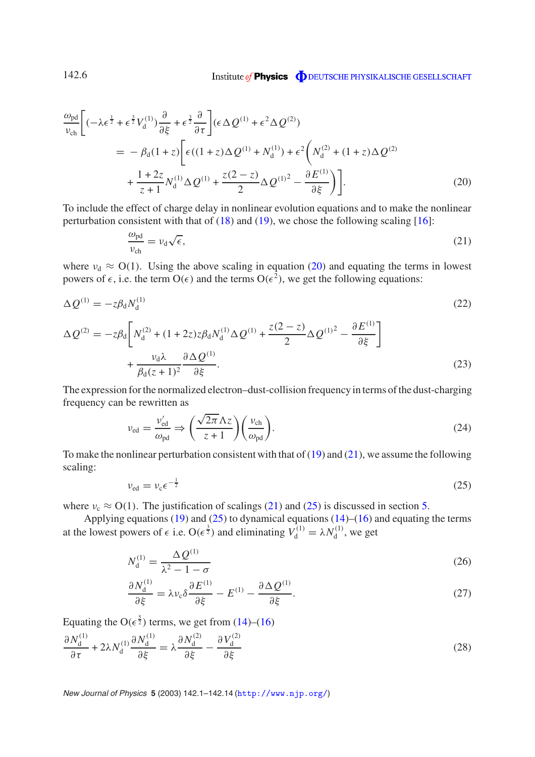$$
\frac{\omega_{\rm pd}}{\nu_{\rm ch}} \bigg[ (-\lambda \epsilon^{\frac{1}{2}} + \epsilon^{\frac{3}{2}} V_{\rm d}^{(1)}) \frac{\partial}{\partial \xi} + \epsilon^{\frac{3}{2}} \frac{\partial}{\partial \tau} \bigg] (\epsilon \Delta Q^{(1)} + \epsilon^2 \Delta Q^{(2)}) \n= -\beta_{\rm d} (1 + z) \bigg[ \epsilon ((1 + z) \Delta Q^{(1)} + N_{\rm d}^{(1)}) + \epsilon^2 \bigg( N_{\rm d}^{(2)} + (1 + z) \Delta Q^{(2)} \n+ \frac{1 + 2z}{z + 1} N_{\rm d}^{(1)} \Delta Q^{(1)} + \frac{z(2 - z)}{2} \Delta Q^{(1)^2} - \frac{\partial E^{(1)}}{\partial \xi} \bigg) \bigg].
$$
\n(20)

To include the effect of charge delay in nonlinear evolution equations and to make the nonlinear perturbation consistent with that of  $(18)$  and  $(19)$ , we chose the following scaling [16]:

$$
\frac{\omega_{\rm pd}}{\nu_{\rm ch}} = \nu_{\rm d}\sqrt{\epsilon},\tag{21}
$$

where  $v_d \approx O(1)$ . Using the above scaling in equation (20) and equating the terms in lowest powers of  $\epsilon$ , i.e. the term  $O(\epsilon)$  and the terms  $O(\epsilon^2)$ , we get the following equations:

$$
\Delta Q^{(1)} = -z\beta_d N_d^{(1)}\tag{22}
$$

$$
\Delta Q^{(2)} = -z\beta_d \left[ N_d^{(2)} + (1 + 2z)z\beta_d N_d^{(1)} \Delta Q^{(1)} + \frac{z(2 - z)}{2} \Delta Q^{(1)^2} - \frac{\partial E^{(1)}}{\partial \xi} \right] + \frac{\nu_d \lambda}{\beta_d (z + 1)^2} \frac{\partial \Delta Q^{(1)}}{\partial \xi}.
$$
\n(23)

The expression for the normalized electron–dust-collision frequency in terms of the dust-charging frequency can be rewritten as

$$
\nu_{\rm ed} = \frac{\nu_{\rm ed}'}{\omega_{\rm pd}} \Rightarrow \left(\frac{\sqrt{2\pi} \Lambda z}{z+1}\right) \left(\frac{\nu_{\rm ch}}{\omega_{\rm pd}}\right). \tag{24}
$$

To make the nonlinear perturbation consistent with that of (19) and (21), we assume the following scaling:

$$
\nu_{\rm ed} = \nu_{\rm c} \epsilon^{-\frac{1}{2}} \tag{25}
$$

where  $v_c \approx O(1)$ . The justification of scalings (21) and (25) is discussed in section 5.

Applying equations (19) and (25) to dynamical equations (14)–(16) and equating the terms at the lowest powers of  $\epsilon$  i.e.  $O(\epsilon^{\frac{3}{2}})$  and eliminating  $V_d^{(1)} = \lambda N_d^{(1)}$  $g_d^{(1)}$ , we get

$$
N_{\rm d}^{(1)} = \frac{\Delta Q^{(1)}}{\lambda^2 - 1 - \sigma} \tag{26}
$$

$$
\frac{\partial N_{\rm d}^{(1)}}{\partial \xi} = \lambda v_{\rm c} \delta \frac{\partial E^{(1)}}{\partial \xi} - E^{(1)} - \frac{\partial \Delta Q^{(1)}}{\partial \xi}.
$$
\n(27)

Equating the  $O(\epsilon^{\frac{5}{2}})$  terms, we get from (14)–(16)  $\partial N_{\rm d}^{\left(1\right)}$ d ∂τ  $+ 2λN_d^{(1)}$ d  $\partial N_{\rm d}^{(1)}$ d  $\frac{\partial^2 \mathbf{d}}{\partial \xi} = \lambda$  $\partial N_{\rm d}^{(2)}$ d  $\overline{\partial \xi}$  –  $\partial V_{\rm d}^{(2)}$ d ∂ξ (28)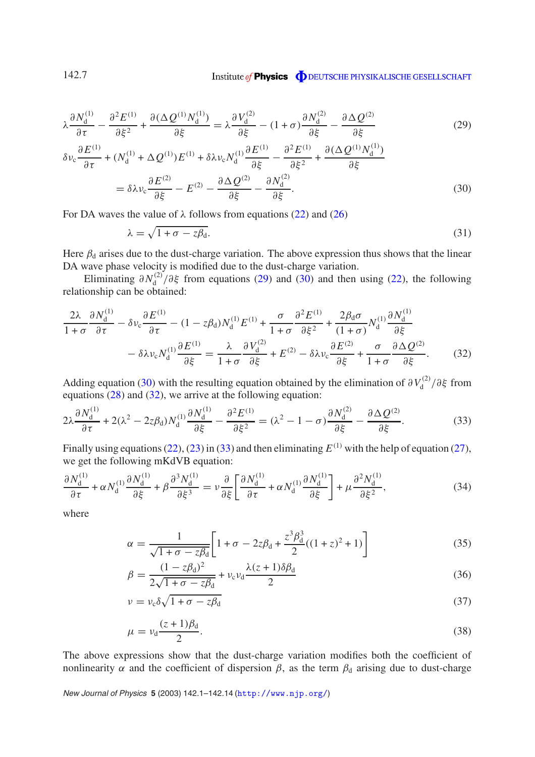$$
\lambda \frac{\partial N_d^{(1)}}{\partial \tau} - \frac{\partial^2 E^{(1)}}{\partial \xi^2} + \frac{\partial (\Delta Q^{(1)} N_d^{(1)})}{\partial \xi} = \lambda \frac{\partial V_d^{(2)}}{\partial \xi} - (1 + \sigma) \frac{\partial N_d^{(2)}}{\partial \xi} - \frac{\partial \Delta Q^{(2)}}{\partial \xi}
$$
(29)

$$
\delta\nu_c \frac{\partial E^{(1)}}{\partial \tau} + (N_d^{(1)} + \Delta Q^{(1)})E^{(1)} + \delta\lambda\nu_c N_d^{(1)} \frac{\partial E^{(1)}}{\partial \xi} - \frac{\partial^2 E^{(1)}}{\partial \xi^2} + \frac{\partial (\Delta Q^{(1)} N_d^{(1)})}{\partial \xi}
$$
  
=  $\delta\lambda\nu_c \frac{\partial E^{(2)}}{\partial \xi} - E^{(2)} - \frac{\partial \Delta Q^{(2)}}{\partial \xi} - \frac{\partial N_d^{(2)}}{\partial \xi}$ . (30)

For DA waves the value of  $\lambda$  follows from equations (22) and (26)

$$
\lambda = \sqrt{1 + \sigma - z\beta_d}.\tag{31}
$$

Here  $\beta_d$  arises due to the dust-charge variation. The above expression thus shows that the linear DA wave phase velocity is modified due to the dust-charge variation.

Eliminating  $\partial N_d^{(2)}$  $\frac{d^{(2)}}{d}$  ( $\frac{\partial \xi}{\partial \xi}$  from equations (29) and (30) and then using (22), the following relationship can be obtained:

$$
\frac{2\lambda}{1+\sigma} \frac{\partial N_{\rm d}^{(1)}}{\partial \tau} - \delta \nu_{\rm c} \frac{\partial E^{(1)}}{\partial \tau} - (1 - z\beta_{\rm d}) N_{\rm d}^{(1)} E^{(1)} + \frac{\sigma}{1+\sigma} \frac{\partial^2 E^{(1)}}{\partial \xi^2} + \frac{2\beta_{\rm d}\sigma}{(1+\sigma)} N_{\rm d}^{(1)} \frac{\partial N_{\rm d}^{(1)}}{\partial \xi} \n- \delta \lambda \nu_{\rm c} N_{\rm d}^{(1)} \frac{\partial E^{(1)}}{\partial \xi} = \frac{\lambda}{1+\sigma} \frac{\partial V_{\rm d}^{(2)}}{\partial \xi} + E^{(2)} - \delta \lambda \nu_{\rm c} \frac{\partial E^{(2)}}{\partial \xi} + \frac{\sigma}{1+\sigma} \frac{\partial \Delta Q^{(2)}}{\partial \xi}.
$$
\n(32)

Adding equation (30) with the resulting equation obtained by the elimination of  $\partial V_d^{(2)}$  $\int_{d}^{(2)}/\partial \xi$  from equations (28) and (32), we arrive at the following equation:

$$
2\lambda \frac{\partial N_d^{(1)}}{\partial \tau} + 2(\lambda^2 - 2z\beta_d)N_d^{(1)}\frac{\partial N_d^{(1)}}{\partial \xi} - \frac{\partial^2 E^{(1)}}{\partial \xi^2} = (\lambda^2 - 1 - \sigma)\frac{\partial N_d^{(2)}}{\partial \xi} - \frac{\partial \Delta Q^{(2)}}{\partial \xi}.
$$
 (33)

Finally using equations  $(22)$ ,  $(23)$  in  $(33)$  and then eliminating  $E^{(1)}$  with the help of equation  $(27)$ , we get the following mKdVB equation:

$$
\frac{\partial N_{\rm d}^{(1)}}{\partial \tau} + \alpha N_{\rm d}^{(1)} \frac{\partial N_{\rm d}^{(1)}}{\partial \xi} + \beta \frac{\partial^3 N_{\rm d}^{(1)}}{\partial \xi^3} = \nu \frac{\partial}{\partial \xi} \left[ \frac{\partial N_{\rm d}^{(1)}}{\partial \tau} + \alpha N_{\rm d}^{(1)} \frac{\partial N_{\rm d}^{(1)}}{\partial \xi} \right] + \mu \frac{\partial^2 N_{\rm d}^{(1)}}{\partial \xi^2},\tag{34}
$$

where

$$
\alpha = \frac{1}{\sqrt{1+\sigma - z\beta_d}} \left[ 1 + \sigma - 2z\beta_d + \frac{z^3 \beta_d^3}{2} ((1+z)^2 + 1) \right]
$$
(35)

$$
\beta = \frac{(1 - z\beta_d)^2}{2\sqrt{1 + \sigma - z\beta_d}} + \nu_c \nu_d \frac{\lambda(z + 1)\delta\beta_d}{2}
$$
\n(36)

$$
\nu = \nu_c \delta \sqrt{1 + \sigma - z\beta_d} \tag{37}
$$

$$
\mu = \nu_{\rm d} \frac{(z+1)\beta_{\rm d}}{2}.\tag{38}
$$

The above expressions show that the dust-charge variation modifies both the coefficient of nonlinearity  $\alpha$  and the coefficient of dispersion  $\beta$ , as the term  $\beta_d$  arising due to dust-charge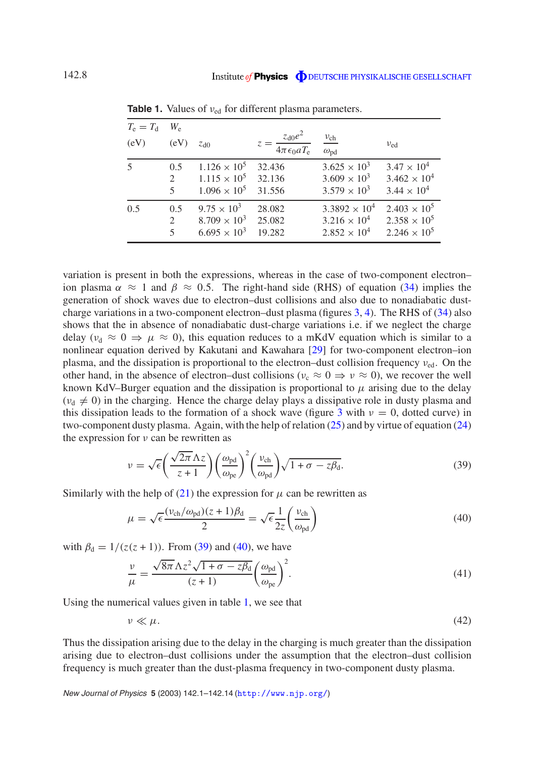| $T_{\rm e}=T_{\rm d}$<br>(eV) | $W_{\rm e}$<br>(eV)      | Zd0                   | $z = \frac{z_{\rm d0}e^2}{4\pi\epsilon_0 aT_{\rm e}}$ | $\frac{v_{ch}}{\omega_{pd}}$ | $v_{\text{ed}}$       |
|-------------------------------|--------------------------|-----------------------|-------------------------------------------------------|------------------------------|-----------------------|
| 5                             | 0.5                      | $1.126 \times 10^5$   | 32.436                                                | $3.625 \times 10^{3}$        | $3.47 \times 10^{4}$  |
|                               | $\mathfrak{D}$           | $1.115 \times 10^5$   | 32.136                                                | $3.609 \times 10^{3}$        | $3.462 \times 10^{4}$ |
|                               | $\overline{\mathcal{L}}$ | $1.096 \times 10^5$   | 31.556                                                | $3.579 \times 10^{3}$        | $3.44 \times 10^{4}$  |
| 0.5                           | 0.5                      | $9.75 \times 10^3$    | 28.082                                                | $3.3892 \times 10^{4}$       | $2.403 \times 10^5$   |
|                               | $\overline{2}$           | $8.709 \times 10^{3}$ | 25.082                                                | $3.216 \times 10^{4}$        | $2.358 \times 10^5$   |
|                               | $\overline{\mathcal{L}}$ | $6.695 \times 10^{3}$ | 19.282                                                | $2.852 \times 10^{4}$        | $2.246 \times 10^5$   |

**Table 1.** Values of  $v_{\text{ed}}$  for different plasma parameters.

variation is present in both the expressions, whereas in the case of two-component electron– ion plasma  $\alpha \approx 1$  and  $\beta \approx 0.5$ . The right-hand side (RHS) of equation (34) implies the generation of shock waves due to electron–dust collisions and also due to nonadiabatic dustcharge variations in a two-component electron–dust plasma (figures 3, 4). The RHS of (34) also shows that the in absence of nonadiabatic dust-charge variations i.e. if we neglect the charge delay ( $v_d \approx 0 \Rightarrow \mu \approx 0$ ), this equation reduces to a mKdV equation which is similar to a nonlinear equation derived by Kakutani and Kawahara [29] for two-component electron–ion plasma, and the dissipation is proportional to the electron–dust collision frequency  $v_{\text{ed}}$ . On the other hand, in the absence of electron–dust collisions ( $v_c \approx 0 \Rightarrow v \approx 0$ ), we recover the well known KdV–Burger equation and the dissipation is proportional to  $\mu$  arising due to the delay  $(v<sub>d</sub> \neq 0)$  in the charging. Hence the charge delay plays a dissipative role in dusty plasma and this dissipation leads to the formation of a shock wave (figure 3 with  $\nu = 0$ , dotted curve) in two-component dusty plasma. Again, with the help of relation (25) and by virtue of equation (24) the expression for  $\nu$  can be rewritten as

$$
\nu = \sqrt{\epsilon} \left( \frac{\sqrt{2\pi} \Lambda z}{z+1} \right) \left( \frac{\omega_{\text{pd}}}{\omega_{\text{pe}}} \right)^2 \left( \frac{\nu_{\text{ch}}}{\omega_{\text{pd}}} \right) \sqrt{1+\sigma - z\beta_{\text{d}}}.
$$
\n(39)

Similarly with the help of (21) the expression for  $\mu$  can be rewritten as

$$
\mu = \sqrt{\epsilon} \frac{(\nu_{\rm ch}/\omega_{\rm pd})(z+1)\beta_{\rm d}}{2} = \sqrt{\epsilon} \frac{1}{2z} \left(\frac{\nu_{\rm ch}}{\omega_{\rm pd}}\right)
$$
(40)

with  $\beta_d = 1/(z(z + 1))$ . From (39) and (40), we have

$$
\frac{\nu}{\mu} = \frac{\sqrt{8\pi} \Lambda z^2 \sqrt{1 + \sigma - z\beta_d}}{(z+1)} \left(\frac{\omega_{\text{pd}}}{\omega_{\text{pe}}}\right)^2.
$$
\n(41)

Using the numerical values given in table 1, we see that

 $\nu \ll \mu.$ (42)

Thus the dissipation arising due to the delay in the charging is much greater than the dissipation arising due to electron–dust collisions under the assumption that the electron–dust collision frequency is much greater than the dust-plasma frequency in two-component dusty plasma.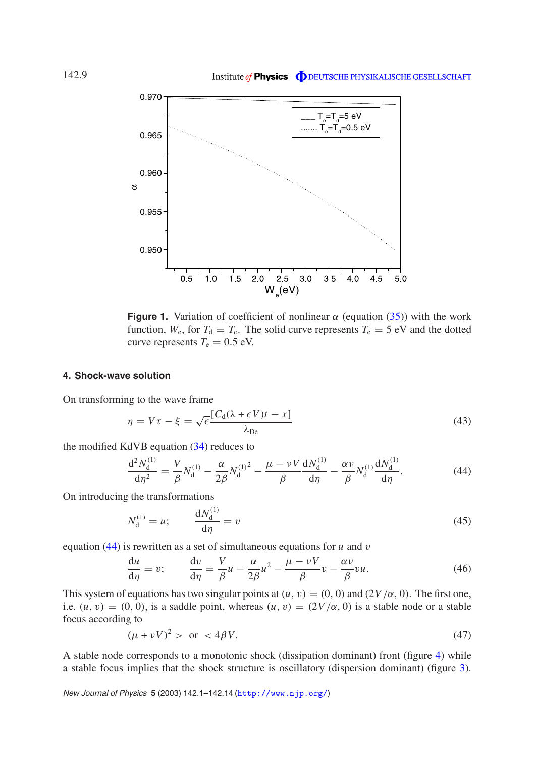

**Figure 1.** Variation of coefficient of nonlinear  $\alpha$  (equation (35)) with the work function,  $W_e$ , for  $T_d = T_e$ . The solid curve represents  $T_e = 5$  eV and the dotted curve represents  $T_e = 0.5$  eV.

#### **4. Shock-wave solution**

On transforming to the wave frame

$$
\eta = V\tau - \xi = \sqrt{\epsilon} \frac{[C_{\rm d}(\lambda + \epsilon V)t - x]}{\lambda_{\rm De}} \tag{43}
$$

the modified KdVB equation (34) reduces to

$$
\frac{d^2 N_d^{(1)}}{d\eta^2} = \frac{V}{\beta} N_d^{(1)} - \frac{\alpha}{2\beta} N_d^{(1)^2} - \frac{\mu - \nu V}{\beta} \frac{dN_d^{(1)}}{d\eta} - \frac{\alpha \nu}{\beta} N_d^{(1)} \frac{dN_d^{(1)}}{d\eta}.
$$
 (44)

On introducing the transformations

$$
N_{\rm d}^{(1)} = u; \qquad \frac{\mathrm{d}N_{\rm d}^{(1)}}{\mathrm{d}\eta} = v \tag{45}
$$

equation (44) is rewritten as a set of simultaneous equations for *u* and v

$$
\frac{du}{d\eta} = v; \qquad \frac{dv}{d\eta} = \frac{V}{\beta}u - \frac{\alpha}{2\beta}u^2 - \frac{\mu - vV}{\beta}v - \frac{\alpha v}{\beta}vu.
$$
\n(46)

This system of equations has two singular points at  $(u, v) = (0, 0)$  and  $(2V/\alpha, 0)$ . The first one, i.e.  $(u, v) = (0, 0)$ , is a saddle point, whereas  $(u, v) = (2V/\alpha, 0)$  is a stable node or a stable focus according to

$$
(\mu + \nu V)^2 > \text{ or } < 4\beta V. \tag{47}
$$

A stable node corresponds to a monotonic shock (dissipation dominant) front (figure 4) while a stable focus implies that the shock structure is oscillatory (dispersion dominant) (figure 3).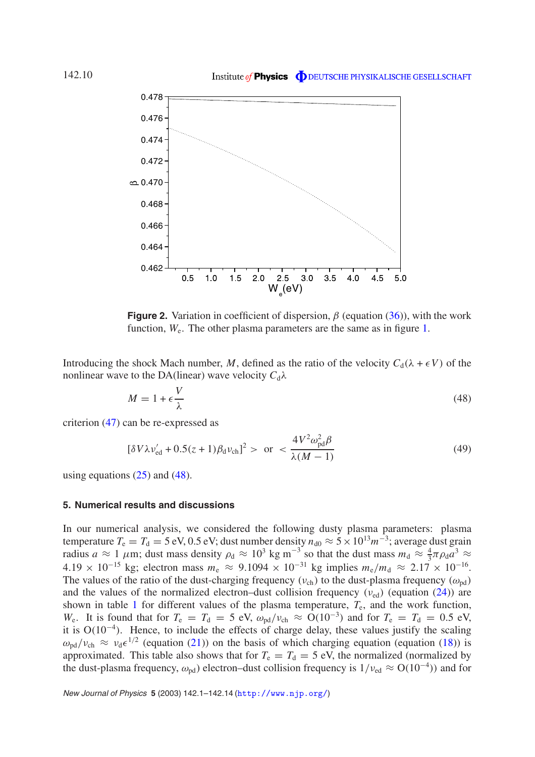

**Figure 2.** Variation in coefficient of dispersion,  $\beta$  (equation (36)), with the work function,  $W_e$ . The other plasma parameters are the same as in figure 1.

Introducing the shock Mach number, M, defined as the ratio of the velocity  $C_d(\lambda + \epsilon V)$  of the nonlinear wave to the DA(linear) wave velocity  $C_d \lambda$ 

$$
M = 1 + \epsilon \frac{V}{\lambda} \tag{48}
$$

criterion (47) can be re-expressed as

$$
[\delta V \lambda \nu_{\rm ed}' + 0.5(z+1)\beta_{\rm d}\nu_{\rm ch}]^{2} > \text{ or } < \frac{4V^{2}\omega_{\rm pd}^{2}\beta}{\lambda(M-1)}
$$
(49)

using equations  $(25)$  and  $(48)$ .

#### **5. Numerical results and discussions**

In our numerical analysis, we considered the following dusty plasma parameters: plasma temperature  $T_e = T_d = 5$  eV, 0.5 eV; dust number density  $n_{d0} \approx 5 \times 10^{13} m^{-3}$ ; average dust grain radius *a* ≈ 1  $\mu$ m; dust mass density  $\rho_d \approx 10^3$  kg m<sup>-3</sup> so that the dust mass  $m_d \approx \frac{4}{3}$  $rac{4}{3}\pi\rho_{\rm d}a^3 \approx$  $4.19 \times 10^{-15}$  kg; electron mass  $m_e \approx 9.1094 \times 10^{-31}$  kg implies  $m_e/m_d \approx 2.17 \times 10^{-16}$ . The values of the ratio of the dust-charging frequency ( $v_{ch}$ ) to the dust-plasma frequency ( $\omega_{nd}$ ) and the values of the normalized electron–dust collision frequency  $(v_{\text{ed}})$  (equation (24)) are shown in table 1 for different values of the plasma temperature,  $T_e$ , and the work function,  $W_e$ . It is found that for  $T_e = T_d = 5$  eV,  $\omega_{pd}/v_{ch} \approx O(10^{-3})$  and for  $T_e = T_d = 0.5$  eV, it is  $O(10^{-4})$ . Hence, to include the effects of charge delay, these values justify the scaling  $\omega_{\rm pd}/v_{\rm ch} \approx v_{\rm d}\epsilon^{1/2}$  (equation (21)) on the basis of which charging equation (equation (18)) is approximated. This table also shows that for  $T_e = T_d = 5$  eV, the normalized (normalized by the dust-plasma frequency,  $\omega_{pd}$ ) electron–dust collision frequency is  $1/\nu_{ed} \approx O(10^{-4})$ ) and for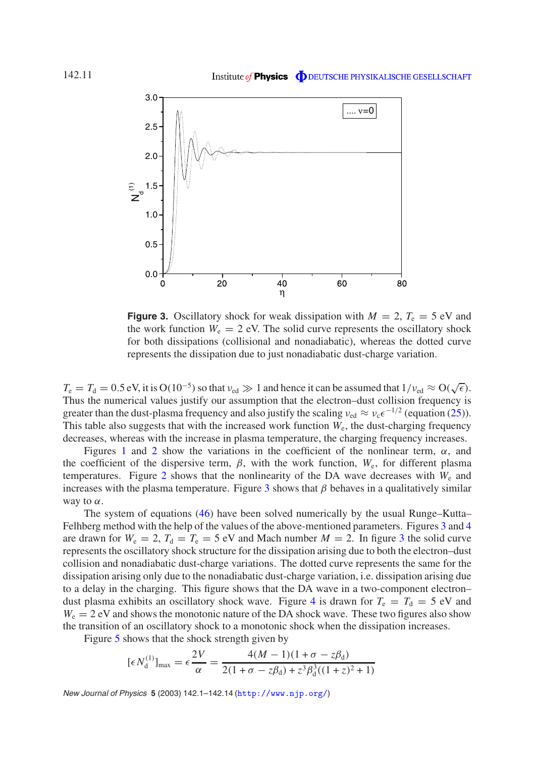

**Figure 3.** Oscillatory shock for weak dissipation with  $M = 2$ ,  $T_e = 5$  eV and the work function  $W_e = 2$  eV. The solid curve represents the oscillatory shock for both dissipations (collisional and nonadiabatic), whereas the dotted curve represents the dissipation due to just nonadiabatic dust-charge variation.

 $T_e = T_d = 0.5 \text{ eV}$ , it is  $O(10^{-5})$  so that  $v_{\text{ed}} \gg 1$  and hence it can be assumed that  $1/v_{\text{ed}} \approx O(\sqrt{\epsilon})$ . Thus the numerical values justify our assumption that the electron–dust collision frequency is greater than the dust-plasma frequency and also justify the scaling  $v_{\text{ed}} \approx v_c \epsilon^{-1/2}$  (equation (25)). This table also suggests that with the increased work function *W*<sup>e</sup> , the dust-charging frequency decreases, whereas with the increase in plasma temperature, the charging frequency increases.

Figures 1 and 2 show the variations in the coefficient of the nonlinear term,  $\alpha$ , and the coefficient of the dispersive term,  $\beta$ , with the work function,  $W_e$ , for different plasma temperatures. Figure 2 shows that the nonlinearity of the DA wave decreases with  $W_e$  and increases with the plasma temperature. Figure 3 shows that  $\beta$  behaves in a qualitatively similar way to  $\alpha$ .

The system of equations (46) have been solved numerically by the usual Runge–Kutta– Felhberg method with the help of the values of the above-mentioned parameters. Figures 3 and 4 are drawn for  $W_e = 2$ ,  $T_d = T_e = 5$  eV and Mach number  $M = 2$ . In figure 3 the solid curve represents the oscillatory shock structure for the dissipation arising due to both the electron–dust collision and nonadiabatic dust-charge variations. The dotted curve represents the same for the dissipation arising only due to the nonadiabatic dust-charge variation, i.e. dissipation arising due to a delay in the charging. This figure shows that the DA wave in a two-component electron– dust plasma exhibits an oscillatory shock wave. Figure 4 is drawn for  $T_e = T_d = 5$  eV and  $W_e = 2$  eV and shows the monotonic nature of the DA shock wave. These two figures also show the transition of an oscillatory shock to a monotonic shock when the dissipation increases.

Figure 5 shows that the shock strength given by

$$
[\epsilon N_{\rm d}^{(1)}]_{\rm max} = \epsilon \frac{2V}{\alpha} = \frac{4(M-1)(1+\sigma - z\beta_{\rm d})}{2(1+\sigma - z\beta_{\rm d}) + z^3 \beta_{\rm d}^3((1+z)^2 + 1)}
$$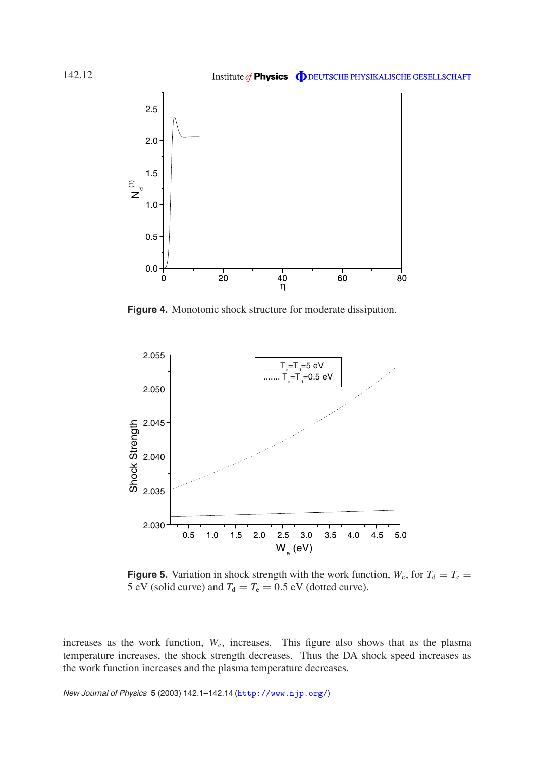

**Figure 4.** Monotonic shock structure for moderate dissipation.



**Figure 5.** Variation in shock strength with the work function,  $W_e$ , for  $T_d = T_e =$ 5 eV (solid curve) and  $T_d = T_e = 0.5$  eV (dotted curve).

increases as the work function, *W*<sup>e</sup> , increases. This figure also shows that as the plasma temperature increases, the shock strength decreases. Thus the DA shock speed increases as the work function increases and the plasma temperature decreases.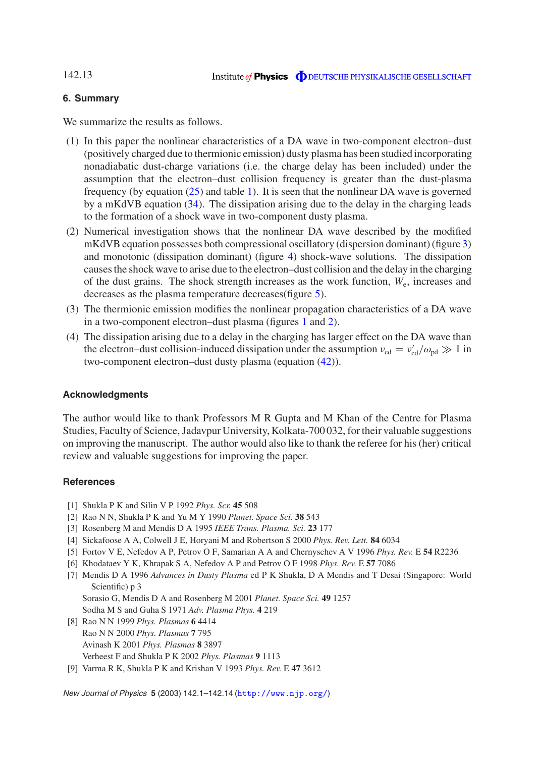#### 142.13

#### **6. Summary**

We summarize the results as follows.

- (1) In this paper the nonlinear characteristics of a DA wave in two-component electron–dust (positively charged due to thermionic emission) dusty plasma has been studied incorporating nonadiabatic dust-charge variations (i.e. the charge delay has been included) under the assumption that the electron–dust collision frequency is greater than the dust-plasma frequency (by equation (25) and table 1). It is seen that the nonlinear DA wave is governed by a mKdVB equation (34). The dissipation arising due to the delay in the charging leads to the formation of a shock wave in two-component dusty plasma.
- (2) Numerical investigation shows that the nonlinear DA wave described by the modified mKdVB equation possesses both compressional oscillatory (dispersion dominant) (figure 3) and monotonic (dissipation dominant) (figure 4) shock-wave solutions. The dissipation causes the shock wave to arise due to the electron–dust collision and the delay in the charging of the dust grains. The shock strength increases as the work function, *W*<sup>e</sup> , increases and decreases as the plasma temperature decreases(figure 5).
- (3) The thermionic emission modifies the nonlinear propagation characteristics of a DA wave in a two-component electron–dust plasma (figures 1 and 2).
- (4) The dissipation arising due to a delay in the charging has larger effect on the DA wave than the electron–dust collision-induced dissipation under the assumption  $v_{\rm ed} = v'_{\rm ed}/\omega_{\rm pd} \gg 1$  in two-component electron–dust dusty plasma (equation (42)).

#### **Acknowledgments**

The author would like to thank Professors M R Gupta and M Khan of the Centre for Plasma Studies, Faculty of Science, Jadavpur University, Kolkata-700 032, for their valuable suggestions on improving the manuscript. The author would also like to thank the referee for his (her) critical review and valuable suggestions for improving the paper.

#### **References**

- [1] Shukla P K and Silin V P 1992 *Phys. Scr.* **45** 508
- [2] Rao N N, Shukla P K and Yu M Y 1990 *Planet. Space Sci.* **38** 543
- [3] Rosenberg M and Mendis D A 1995 *IEEE Trans. Plasma. Sci.* **23** 177
- [4] Sickafoose A A, Colwell J E, Horyani M and Robertson S 2000 *Phys. Rev. Lett.* **84** 6034
- [5] Fortov V E, Nefedov A P, Petrov O F, Samarian A A and Chernyschev A V 1996 *Phys. Rev.* E **54** R2236
- [6] Khodataev Y K, Khrapak S A, Nefedov A P and Petrov O F 1998 *Phys. Rev.* E **57** 7086
- [7] Mendis D A 1996 *Advances in Dusty Plasma* ed P K Shukla, D A Mendis and T Desai (Singapore: World Scientific) p 3
	- Sorasio G, Mendis D A and Rosenberg M 2001 *Planet. Space Sci.* **49** 1257 Sodha M S and Guha S 1971 *Adv. Plasma Phys.* **4** 219
- [8] Rao N N 1999 *Phys. Plasmas* **6** 4414 RaoNN 2000 *Phys. Plasmas* **7** 795 Avinash K 2001 *Phys. Plasmas* **8** 3897 Verheest F and Shukla P K 2002 *Phys. Plasmas* **9** 1113
- [9] Varma R K, Shukla P K and Krishan V 1993 *Phys. Rev.* E **47** 3612